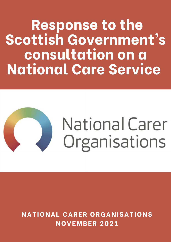**Response to the** Scottish Government's consultation on a **National Care Service** 



**NATIONAL CARER ORGANISATIONS NOVEMBER 2021**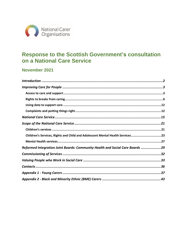

# Response to the Scottish Government's consultation on a National Care Service

# November 2021

| Children's Services, Rights and Child and Adolescent Mental Health Services23 |  |
|-------------------------------------------------------------------------------|--|
|                                                                               |  |
| Reformed Integration Joint Boards: Community Health and Social Care Boards 29 |  |
|                                                                               |  |
|                                                                               |  |
|                                                                               |  |
|                                                                               |  |
|                                                                               |  |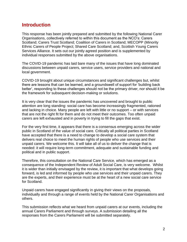# **Introduction**

This response has been jointly prepared and submitted by the following National Carer Organisations, collectively referred to within this document as the NCO's: Carers Scotland; Carers Trust Scotland; Coalition of Carers in Scotland; MECOPP (Minority Ethnic Carers of People Project; Shared Care Scotland; and, Scottish Young Carers Services Alliance. It sets out our jointly agreed position and is supplemented by individual responses submitted by the above organisations.

The COVID-19 pandemic has laid bare many of the issues that have long dominated discussions between unpaid carers, service users, service providers and national and local government.

COVID-19 brought about unique circumstances and significant challenges but, whilst there are lessons that can be learned, and a groundswell of support for 'building back better', responding to these challenges should not be the primary driver, nor should it be the framework for subsequent decision-making or solutions.

It is very clear that the issues the pandemic has uncovered and brought to public attention are long standing: social care has become increasingly fragmented, rationed and lacking in choice. Many people are left with little or no support – or with services that are not the right fit for them and do not meet their outcomes. Too often unpaid carers are left exhausted and in poverty in trying to fill the gaps that exist.

For the very first time, it appears that there is a consensus emerging across the wider public in Scotland of the value of social care. Critically all political parties in Scotland have accepted that there is a need to change to develop a social care system that delivers real choice to meet the human rights of people who use services and their unpaid carers. We welcome this. It will take all of us to deliver the change that is needed: it will require long-term commitment, adequate and sustainable funding and political and in public support.

Therefore, this consultation on the National Care Service, which has emerged as a consequence of the Independent Review of Adult Social Care, is very welcome. Whilst it is wider than initially envisaged by the review, it is important that what develops going forward, is led and informed by people who use services and their unpaid carers. They are the experts, and their experience must be at the heart of a new social care service for Scotland.

Unpaid carers have engaged significantly in giving their views on the proposals, individually and through a range of events held by the National Carer Organisations and others.

This submission reflects what we heard from unpaid carers at our events, including the annual Carers Parliament and through surveys. A submission detailing all the responses from the Carers Parliament will be submitted separately.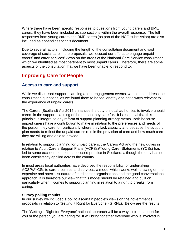Where there have been specific responses to questions from young carers and BME carers, they have been included as sub-sections within the overall response. The full responses from young carers and BME carers (as part of the NCO submission) are also included as appendices to this document.

Due to several factors, including the length of the consultation document and vast coverage of social care in the proposals, we focused our efforts to engage unpaid carers' and carer services' views on the areas of the National Care Service consultation which we identified as most pertinent to most unpaid carers. Therefore, there are some aspects of the consultation that we have been unable to respond to.

# **Improving Care for People**

## **Access to care and support**

While we discussed support planning at our engagement events, we did not address the consultation questions, as we found them to be too lengthy and not always relevant to the experience of unpaid carers.

The Carers (Scotland) Act 2016 enhances the duty on local authorities to involve unpaid carers in the support planning of the person they care for. It is essential that this principle is integral to any reform of support planning arrangements. Both because unpaid carers have a contribution to make in relation to the preferences and needs of the person they care for, particularly where they lack capacity and because the support plan needs to reflect the unpaid carer's role in the provision of care and how much care they are willing and able to provide.

In relation to support planning for unpaid carers, the Carers Act and the new duties in relation to Adult Carers Support Plans (ACPSs)/Young Carer Statements (YCSs) has led to some excellent, outcomes focused practice in Scotland, although the duty has not been consistently applied across the country.

In most areas local authorities have devolved the responsibility for undertaking ACSPs/YCSs to carers centres and services, a model which works well, drawing on the expertise and specialist nature of third sector organisations and the good conversations approach. It is therefore our view that this model should be retained and built on, particularly when it comes to support planning in relation to a right to breaks from caring.

## **Survey polling results**

In our survey we included a poll to ascertain people's views on the government's proposals in relation to 'Getting it Right for Everyone' (GIRFE). Below are the results:

The 'Getting it Right for Everyone' national approach will be a way to plan support for you or the person you are caring for. It will bring together everyone who is involved in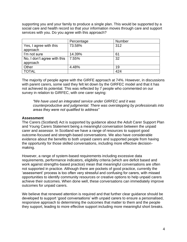supporting you and your family to produce a single plan. This would be supported by a social care and health record so that your information moves through care and support services with you. Do you agree with this approach?

|                                    | Percentage | Number |
|------------------------------------|------------|--------|
| Yes, I agree with this<br>approach | 73.58%     | 312    |
| I'm not sure                       | 14.39%     | 61     |
|                                    |            |        |
| No, I don't agree with this        | 7.55%      | 32     |
| approach                           |            |        |
| Other                              | 4.48%      | 19     |
| TOTAL                              |            | 424    |

The majority of people agree with the GIRFE approach at 74%. However, in discussions with parent carers, some said they felt let down by the GIRFEC model and that it has not achieved its potential. This was reflected by 7 people who commented on our survey in relation to GIRFEC, with one carer saying:

*"We have used an integrated service under GIRFEC and it was counterproductive and judgmental. There was overstepping by professionals into areas they were not qualified to address"*

## **Assessment**

The Carers (Scotland) Act is supported by guidance about the Adult Carer Support Plan and Young Carers Statement being a meaningful conversation between the unpaid carer and assessor. In Scotland we have a range of resources to support good outcome-focused and strength-based conversations. We also have considerable evidence about the benefits to both unpaid carers and supported people from having the opportunity for those skilled conversations, including more effective decisionmaking.

However, a range of system-based requirements including excessive data requirements, performance indicators, eligibility criteria (which are deficit based and work against strengths-based practice) mean that meaningful conversations are often not supported in practice. Although there are pockets of good practice, currently the 'assessment' process is too often very stressful and confusing for carers, with missed opportunities to identify community resources or creative options to help unpaid carers achieve their outcomes. When done well, these conversations can immediately improve outcomes for unpaid carers.

We believe that renewed attention is required and that further clear guidance should be developed to support 'good conversations' with unpaid carers to ensure a personalised, responsive approach to determining the outcomes that matter to them and the people they support, leading to more effective support including more meaningful short breaks.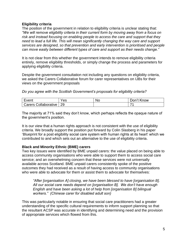## **Eligibility criteria**

The position of the government in relation to eligibility criteria is unclear stating that: *"We will remove eligibility criteria in their current form by moving away from a focus on risk and instead focusing on enabling people to access the care and support that they need to lead a full life. This will mean significantly changing the way care and support services are designed, so that prevention and early intervention is prioritised and people can move easily between different types of care and support as their needs change."*

It is not clear from this whether the government intends to remove eligibility criteria entirely, remove eligibility thresholds, or simply change the process and parameters for applying eligibility criteria.

Despite the government consultation not including any questions on eligibility criteria, we asked the Carers Collaborative forum for carer representatives on IJBs for their views on the government proposals

*Do you agree with the Scottish Government's proposals for eligibility criteria?*

| vent                                       | es | N.<br>`' | Don<br>now |
|--------------------------------------------|----|----------|------------|
| ⊸∩lloh<br>arers:<br>---<br>ative<br>$\sim$ | 29 |          |            |

The majority at 71% said they don't know, which perhaps reflects the opaque nature of the government's position.

It is our view that a human rights approach is not consistent with the use of eligibility criteria. We broadly support the position put forward by Colin Slasberg in his paper 'Blueprint for a post eligibility social care system with human rights at its heart' which we contributed to and which sets out an alternative to the use of eligibility criteria.

## **Black and Minority Ethnic (BME) carers**

Two key issues were identified by BME unpaid carers: the value placed on being able to access community organisations who were able to support them to access social care service; and an overwhelming concern that these services were not universally available across Scotland. BME unpaid carers consistently spoke of the positive outcomes they had received as a result of having access to community organisations who were able to advocate for them or assist them to advocate for themselves:

*"After [organisation A] closing, we have been blessed to have [organisation B]. All our social care needs depend on [organisation B]. We don't have enough English and have been asking a lot of help from [organisation B] bilingual workers." (Chinese carer for disabled adult son)*

This was particularly notable in ensuring that social care practitioners had a greater understanding of the specific cultural requirements to inform support planning so that the resultant ACSP was accurate in identifying and determining need and the provision of appropriate services which flowed from this.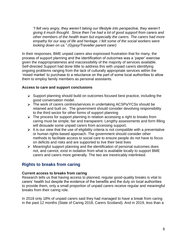*"I felt very angry, they weren't taking our lifestyle into perspective, they weren't giving it much thought. Since then I've had a lot of good support from carers and other members of the health team but especially the carers. The carers had more empathy for our way of life and heritage. I felt some of the social workers were looking down on us." (Gypsy/Traveller parent carer)*

In their responses, BME unpaid carers also expressed frustration that for many, the process of support planning and the identification of outcomes was a 'paper' exercise given the inappropriateness and inaccessibility of the majority of services available. Self-directed Support had done little to address this with unpaid carers identifying ongoing problems ranging from the lack of culturally appropriate services within the 'mixed market' to purchase to a reluctance on the part of some local authorities to allow them to employ family members as personal assistants.

## **Access to care and support conclusions**

- $\triangleright$  Support planning should build on outcomes focused best practice, including the good conversation model.
- The work of carers centres/services in undertaking ACSPs/YCSs should be retained and built on. The government should consider devolving responsibility to the third sector for other forms of support planning
- $\triangleright$  The process for support planning in relation accessing a right to breaks from caring must be simple, fair and transparent. Lengthy assessments and form filling will dissuade some unpaid carers from accessing support.
- $\triangleright$  It is our view that the use of eligibility criteria is not compatible with a preventative or human rights-based approach. The government should consider other methods to facilitate access to social care to ensure people do not have to focus on deficits and risks and are supported to live their best lives
- $\triangleright$  Meaningful support planning and the identification of personal outcomes does not, and cannot, exist in isolation from what is available locally to support BME carers and carers more generally. The two are inextricably interlinked.

# **Rights to breaks from caring**

## **Current access to breaks from caring**

Research tells us that having access to planned, regular good-quality breaks is vital to carers' health but despite the evidence of the benefits and the duty on local authorities to provide them, only a small proportion of unpaid carers receive regular and meaningful breaks from their caring role.

In 2018 only 18% of unpaid carers said they had managed to have a break from caring in the past 12 months (State of Caring 2018, Carers Scotland). And in 2019, less than a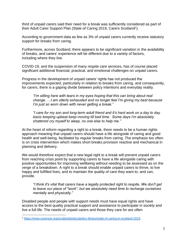third of unpaid carers said their need for a break was sufficiently considered as part of their Adult Carer Support Plan (State of Caring 2019, Carers Scotland<sup>1</sup>).

According to government data as few as 3% of unpaid carers currently receive statutory support for breaks from caring.

Furthermore, across Scotland, there appears to be significant variation in the availability of breaks, and carers' experience will be different due to a variety of factors, including where they live.

COVID-19, and the suspension of many respite care services, has of course placed significant additional financial, practical, and emotional challenges on unpaid carers.

Progress in the development of unpaid carers' rights has not produced the improvements expected, particularly in relation to breaks from caring, and consequently, for carers, there is a gaping divide between policy intentions and everyday reality.

*"I'm sitting here with tears in my eyes hoping that this can bring about real change. …I am utterly exhausted and no longer feel I'm giving my best because I'm just so worn down with never getting a break."* 

*"I care for my son and long-term adult friend and it's hard work on a day to day basis keeping upbeat keep moving till bed time. Some days I'm absolutely shattered cry myself to sleep, no one else to help me."* 

At the heart of reform regarding a right to a break, there needs to be a human rights approach meaning that unpaid carers should have a life alongside of caring and good health and well-being, facilitated by regular breaks from caring. The emphasis too often is on crisis intervention which makes short breaks provision reactive and mechanical in planning and delivery.

We would therefore expect that a new legal right to a break will prevent unpaid carers from reaching crisis point by supporting carers to have a life alongside caring with positive opportunities for improving wellbeing without needing to be assessed as on the verge of a breakdown. A right to a break should enable unpaid carers to thrive, to live happy and fulfilled lives, and to maintain the quality of care they want to, and can, provide.

*"I think it's vital that carers have a legally protected right to respite. We don't get to leave our place of "work", but we absolutely need time to recharge ourselves mentally and physically."*

Disabled people and people with support needs must have equal rights and have access to the best quality practical support and assistance to participate in society and live a full life. The needs of unpaid carers and those they care for are often

<sup>1</sup> <https://www.carersuk.org/scotland/policy/policy-library/state-of-caring-in-scotland-2019>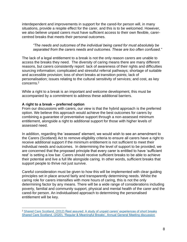interdependent and improvements in support for the cared-for person will, in many situations, provide a respite effect for the carer, and this is to be welcomed. However, we also believe unpaid carers must have sufficient access to their own flexible, carercentred breaks that meets their personal outcomes.

*"The needs and outcomes of the individual being cared for must absolutely be separated from the carers needs and outcomes. These are too often confused."*

The lack of a legal entitlement to a break is not the only reason carers are unable to access the breaks they need. The diversity of caring means there are many different reasons, but carers consistently report: lack of awareness of their rights and difficulties sourcing information; complicated and stressful referral pathways; shortage of suitable and accessible provision; loss of short breaks at transition points; lack of personalisation; issues relating to the cultural sensitivity of services; and cost, as key concerns. 2

While a right to a break is an important and welcome development, this must be accompanied by a commitment to address these additional barriers.

## **A right to a break – preferred option**

From our discussions with carers, our view is that the hybrid approach is the preferred option. We believe this approach would achieve the best outcomes for carers by combining a guarantee of preventative support through a non-assessed minimum entitlement, alongside a right to additional support for those with higher levels of assessed need.

In addition, regarding the 'assessed' element, we would wish to see an amendment to the Carers (Scotland) Act to remove eligibility criteria to ensure all carers have a right to receive additional support if the minimum entitlement is not sufficient to meet their individual needs and outcomes. In determining the level of support to be provided, we are concerned that the proposed principle that every carer is entitled to have 'sufficient rest' is setting a low bar. Carers should receive sufficient breaks to be able to achieve their potential and live a full life alongside caring. In other words, sufficient breaks that support people to thrive not just survive.

Careful consideration must be given to how this will be implemented with clear guiding principles set in place around fairly and transparently determining needs. Whilst the caring role for carers intensifies with more hours of caring, this is not the only determining factor by any means. There will be a wide range of considerations including poverty, familial and community support, physical and mental health of the carer and the cared-for person. An individualised approach to determining the personalised entitlement will be key.

<sup>2</sup> Shared Care Scotland, (2012) [Rest assured: A study of unpaid carers' experiences of short breaks](https://www.sharedcarescotland.org.uk/wp-content/uploads/2015/02/iriss-rest-assured-summary-2012.pdf) [Shared Care Scotland, \(2020\), 'Regular & Meaningful Breaks', Annual General Meeting discussion](https://www.sharedcarescotland.org.uk/wp-content/uploads/2021/02/FINAL-Guaranteed-Breaks-from-Caring-Report-of-AGM-Discussions-Dec-2020.pdf)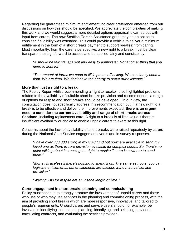Regarding the guaranteed minimum entitlement, no clear preference emerged from our discussions on how this should be specified. We appreciate the complexities of making this work and we would suggest a more detailed options appraisal is carried out with input from carers. The new Scottish Carer's Assistance grant may be an option to consider if eligibility was extended. This could provide a vehicle to deliver a minimum entitlement in the form of a short breaks payment to support break(s) from caring. Most importantly, from the carer's perspective, a new right to a break must be clear, transparent, straightforward to access and be applied fairly and consistently.

*"It should be fair, transparent and easy to administer. Not another thing that you need to fight for."* 

*"The amount of forms we need to fill in put us off asking. We constantly need to fight. We are tired. We don't have the energy to prove our existence."*

## **More than just a right to a break**

The Feeley Report whilst recommending a 'right to respite', also highlighted problems related to the availability of suitable short breaks provision and recommended, 'a range of options for respite and short breaks should be developed.' In our view, the consultation does not specifically address this recommendation but, if a new right to a break is to be effective and deliver the improvements expected, **there is an urgent need to consider the current availability and range of short breaks across Scotland**, including replacement care. A right to a break is of little value if there is insufficient availability or choice to enable unpaid carers to exercise this right.

Concerns about the lack of availability of short breaks were raised repeatedly by carers during the National Care Service engagement events and in survey responses.

*"I have over £80,000 sitting in my SDS fund but nowhere available to send my loved one as there is zero provision available for complex needs. So, there's no point talking about increasing the right to respite if there is nowhere to send them!"*

*"Money is useless if there's nothing to spend it on. The same as hours, you can legislate entitlements, but entitlements are useless without actual service provision."*

*"Waiting lists for respite are an insane length of time."*

## **Carer engagement in short breaks planning and commissioning**

Policy must continue to strongly promote the involvement of unpaid carers and those who use or who may use services in the planning and commissioning process, with the aim of providing short breaks which are more responsive, innovative, and tailored to people's requirements. Unpaid carers and service users should, for example, be involved in identifying local needs, planning, identifying, and selecting providers, formulating contracts, and evaluating the services provided.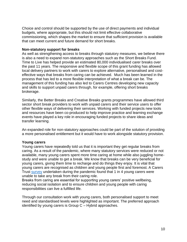Choice and control should be supported by the use of direct payments and individual budgets, where appropriate, but this should not limit effective collaborative commissioning, which shapes the market to ensure that sufficient provision is available that can meet current and future demand for short breaks.

#### **Non-statutory support for breaks**

As well as strengthening access to breaks through statutory measures, we believe there is also a need to expand non-statutory approaches such as the Short Breaks Fund. Time to Live has helped provide an estimated 80,000 individualised carer breaks over the past 11 years. The responsive and flexible scope of this grant funding has allowed local delivery partners to work with carers to explore alternative, personalised and costeffective ways that breaks from caring can be achieved. Much has been learned in the process that has led to a more flexible interpretation of what a break can be. The management of this funding has also led to Carers Centres developing new capacity and skills to support unpaid carers through, for example, offering short breaks brokerage.

Similarly, the Better Breaks and Creative Breaks grants programmes have allowed third sector short break providers to work with unpaid carers and their service users to offer other flexible ways of delivering their services. Working with funded projects new tools and resources have been co-produced to help improve practice and learning exchange events have played a key role in encouraging funded projects to share ideas and transfer learning.

An expanded role for non-statutory approaches could be part of the solution of providing a more personalised entitlement but it would have to work alongside statutory provision.

## **Young carers**

Young carers have repeatedly told us that it is important they get regular breaks from caring. As a result of the pandemic, where many statutory services were reduced or not available, many young carers spent more time caring at home while also juggling homestudy and were unable to get a break. We know that breaks can be very beneficial for young carers, giving them time to recharge and do things they enjoy. It is vital that young carers are recognised as children and young people first and foremost. A Carers Trust [survey](https://carers.org/downloads/scotland-pdfs/2020-vision.pdf) undertaken during the pandemic found that 1 in 4 young carers were unable to take any break from their caring role.

Breaks from caring are essential for supporting young carers' positive wellbeing, reducing social isolation and to ensure children and young people with caring responsibilities can live a fulfilled life.

Through our consultation work with young carers, both personalised support to meet need and standardised levels were highlighted as important. The preferred approach identified by young carers is Group C – Hybrid approaches.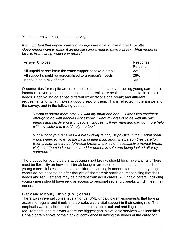Young carers were asked in our survey:

*It is important that unpaid carers of all ages are able to take a break. Scottish Government want to make it an unpaid carer's right to have a break. What model of breaks from caring would you prefer?*

| <b>Answer Choices</b>                                   | Response<br>Percent |
|---------------------------------------------------------|---------------------|
| All unpaid carers have the same support to take a break | 22%                 |
| All support should be personalised to a person's needs  | 28%                 |
| It should be a mix of both                              | .50%                |

Opportunities for respite are important to all unpaid carers, including young carers. It is important to young people that respite and breaks are available, and suitable to their needs. Each young carer has different expectations of a break; and different requirements for what makes a good break for them. This is reflected in the answers to the survey, and in the following quotes:

*"I want to spend more time 1:1 with my mum and dad … I don't feel confident enough to go with people I don't know. I want my breaks to be with my own friends and family and with people I choose … If my mum and dad got more help with my sister this would help me too."*

*"For a lot of young carers – a break away is not just physical but a mental break – don't need to worry in the back of their mind about the person they care for. Even if attending a hub (physical break) there is not necessarily a mental break. Helps for them to know the cared for person is safe and being looked after by someone."*

The process for young carers accessing short breaks should be simple and fair. There must be flexibility on how short break budgets are used to meet the diverse needs of young carers. It is essential that considered planning is undertaken to ensure young carers do not become an after-thought of short break provision, recognising that their needs and requirements may be different from adult carers. All unpaid carers, including young carers should have regular access to personalised short breaks which meet their needs.

## **Black and Minority Ethnic (BME) carers**

There was universal consensus amongst BME unpaid carer respondents that having access to regular and timely short breaks was a vital support in their caring role. The emphasis was on short breaks that met their specific cultural and linguistic requirements, and this was where the biggest gap in available services was identified. Unpaid carers spoke of their lack of confidence in having the needs of the cared for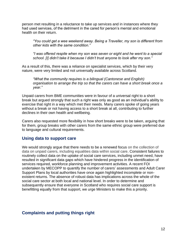person met resulting in a reluctance to take up services and in instances where they had used services, of the detriment in the cared for person's mental and emotional health on their return.

*"You could get a wee weekend away. Being a Traveller, my son is different from other kids with the same condition."*

*"I was offered respite when my son was seven or eight and he went to a special school. [I] didn't take it because I didn't trust anyone to look after my son."*

As a result of this, there was a reliance on specialist services, which by their very nature, were very limited and not universally available across Scotland.

*"What the community requires is a bilingual (Cantonese and English) organisation to arrange the trip so that the carers can have a short break once a year."*

Unpaid carers from BME communities were in favour of a universal right to a short break but argued strongly that such a right was only as good as an individual's ability to exercise that right in a way which met their needs. Many carers spoke of going years without a break or not having access to a short break at all, contributing to further declines in their own health and wellbeing.

Carers also requested more flexibility in how short breaks were to be taken, arguing that for them, group breaks with other carers from the same ethnic group were preferred due to language and cultural requirements.

## **Using data to support care**

We would strongly argue that there needs to be a renewed focus on the collection of data on unpaid carers, including equalities data within social care. Consistent failures to routinely collect data on the uptake of social care services, including unmet need, have resulted in significant data gaps which have hindered progress in the identification of services required, workforce planning and improvement activities. A recent FOI undertaken by MECOPP to quantify the number of carers' assessments and Adult Carer Support Plans by local authorities have once again highlighted incomplete or nonexistent returns. The absence of robust data has implications across the whole of the social care sector at both local and national level. In order to determine and subsequently ensure that everyone in Scotland who requires social care support is benefitting equally from that support, we urge Ministers to make this a priority.

# **Complaints and putting things right**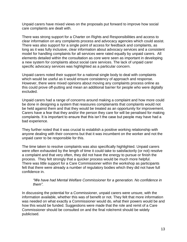Unpaid carers have mixed views on the proposals put forward to improve how social care complaints are dealt with.

There was strong support for a Charter on Rights and Responsibilities and access to clear information on any complaints process and advocacy agencies which could assist. There was also support for a single point of access for feedback and complaints, as long as it was fully inclusive, clear information about advocacy services and a consistent model for handling complaints for all services were rated equally by unpaid carers. All elements detailed within the consultation as core were seen as important in developing a new system for complaints about social care services. The lack of unpaid carer specific advocacy services was highlighted as a particular concern.

Unpaid carers noted their support for a national single body to deal with complaints which would be useful as it would ensure consistency of approach and response. However, there were mixed opinions about moving any complaints process online as this could prove off-putting and mean an additional barrier for people who were digitally excluded.

Unpaid carers had a range of concerns around making a complaint and how more could be done in designing a system that reassures complainants that complaints would not be held against them and that they would be treated as an opportunity for improvement. Carers have a fear that they and/or the person they care for will be penalised for making complaints. It is important to ensure that this isn't the case but people may have had a bad experience.

They further noted that it was crucial to establish a positive working relationship with anyone dealing with their concerns but that it was incumbent on the worker and not the unpaid carer to be responsible for this.

The time taken to resolve complaints was also specifically highlighted. Unpaid carers were often exhausted by the length of time it could take to satisfactorily (or not) resolve a complaint and that very often, they did not have the energy to pursue or finish the process. They felt strongly that a quicker process would be much more helpful. There was little support for a Care Commissioner within the workshop as participants felt that there were already a number of regulatory bodies which they did not have full confidence in.

## *"We have had Mental Welfare Commissioner for a generation. No confidence in them".*

In discussing the potential for a Commissioner, unpaid carers were unsure, with the information available, whether this was of benefit or not. They felt that more information was needed on what exactly a Commissioner would do, what their powers would be and how this would be funded. Suggestions were made that the role and remit of a Care Commissioner should be consulted on and the final role/remit should be widely publicised.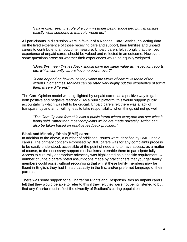*"I have often seen the role of a commissioner being suggested but I'm unsure exactly what someone in that role would do."*

All participants in discussion were in favour of a National Care Service, collecting data on the lived experience of those receiving care and support, their families and unpaid carers to contribute to an outcome measure. Unpaid carers felt strongly that the lived experience of unpaid carers should be valued and reflected in an outcome. However, some questions arose on whether their experiences would be equally weighted.

*"Does this mean this feedback should have the same value as inspection reports, etc. which currently carers have no power over?"*

*"It can depend on how much they value the views of carers vs those of the experts. Sometimes services can be rated very highly but the experience of using them is very different."*

The Care Opinion model was highlighted by unpaid carers as a positive way to gather both positive and negative feedback. As a public platform, this would support public accountability which was felt to be crucial. Unpaid carers felt there was a lack of transparency and an unwillingness to take responsibility when things did not go well.

*"The Care Opinion format is also a public forum where everyone can see what is being said, rather than most complaints which are made privately. Action can also be taken based on positive feedback provided."*

## **Black and Minority Ethnic (BME) carers**

In addition to the above, a number of additional issues were identified by BME unpaid carers. The primary concern expressed by BME carers was for any complaints process to be easily understood, accessible at the point of need and to have access, as a matter of course, to the necessary support mechanisms to enable them to participate fully. Access to culturally appropriate advocacy was highlighted as a specific requirement. A number of unpaid carers noted assumptions made by practitioners that younger family members could assist without recognising that whilst these family members may be fluent in English, they had limited capacity in the first and/or preferred language of their parents.

There was some support for a Charter on Rights and Responsibilities as unpaid carers felt that they would be able to refer to this if they felt they were not being listened to but that any Charter must reflect the diversity of Scotland's caring population.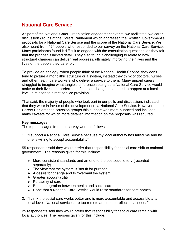# **National Care Service**

As part of the National Carer Organisation engagement events, we facilitated two carer discussion groups at the Carers Parliament which addressed the Scottish Government's proposals for a National Care Service and the scope of the National Care Service. We also heard from 424 people who responded to our survey on the National Care Service. Many participants found it difficult to engage with the consultation questions, as they felt that the proposals lacked detail. They also found it challenging to relate to how structural changes can deliver real progress, ultimately improving their lives and the lives of the people they care for.

To provide an analogy, when people think of the National Health Service, they don't tend to picture a monolithic structure or a system, instead they think of doctors, nurses and other health care workers who deliver a service to them. Many unpaid carers struggled to imagine what tangible difference setting up a National Care Service would make to their lives and preferred to focus on changes that need to happen at a local level in relation to direct service provision.

That said, the majority of people who took part in our polls and discussions indicated that they were in favour of the development of a National Care Service. However, at the Carers Parliament discussion groups this support was more nuanced and included many caveats for which more detailed information on the proposals was required.

## **Key messages**

The top messages from our survey were as follows:

1. "I support a National Care Service because my local authority has failed me and no one is willing to accept accountability"

55 respondents said they would prefer that responsibility for social care shift to national government. The reasons given for this include:

- $\triangleright$  More consistent standards and an end to the postcode lottery (recorded separately)
- $\triangleright$  The view that the system is 'not fit for purpose'
- $\triangleright$  A desire for change and to 'overhaul the system'
- $\triangleright$  Greater accountability
- $\triangleright$  Portability of care
- $\triangleright$  Better integration between health and social care
- > Hope that a National Care Service would raise standards for care homes.
- 2. "I think the social care works better and is more accountable and accessible at a local level. National services are too remote and do not reflect local needs"

25 respondents said they would prefer that responsibility for social care remain with local authorities. The reasons given for this include: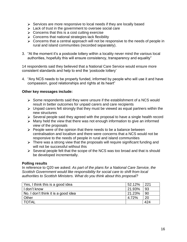- $\triangleright$  Services are more responsive to local needs if they are locally based
- > Lack of trust in the government to oversee social care
- $\triangleright$  Concerns that this is a cost cutting exercise
- $\triangleright$  Concerns that national strategies lack flexibility
- $\triangleright$  Concerns that a central approach will not be responsive to the needs of people in rural and island communities (recorded separately).
- 3. "At the moment it's a postcode lottery within a locality never mind the various local authorities, hopefully this will ensure consistency, transparency and equality"

14 respondents said they believed that a National Care Service would ensure more consistent standards and help to end the 'postcode lottery'

4. "Any NCS needs to be properly funded, informed by people who will use it and have compassion, good relationships and rights at its heart"

## **Other key messages include:**

- $\triangleright$  Some respondents said they were unsure if the establishment of a NCS would result in better outcomes for unpaid carers and care recipients
- $\triangleright$  Unpaid carers felt strongly that they must be viewed as equal partners within the new structures
- $\triangleright$  Several people said they agreed with the proposal to have a single health record
- $\triangleright$  Many held the view that there was not enough information to give an informed view of the proposals
- $\triangleright$  People were of the opinion that there needs to be a balance between centralisation and localism and there were concerns that a NCS would not be responsive to the needs of people in rural and island communities
- $\triangleright$  There was a strong view that the proposals will require significant funding and will not be successful without this
- $\triangleright$  Several people felt that the scope of the NCS was too broad and that is should be developed incrementally.

## **Polling results**

In reference to Q20 we asked: *As part of the plans for a National Care Service, the Scottish Government would like responsibility for social care to shift from local authorities to Scottish Ministers. What do you think about this proposal?*

| Yes, I think this is a good idea    | 52.12% | 221 |
|-------------------------------------|--------|-----|
| I don't know                        | 21.93% | 93  |
| No. I don't think it is a good idea | 21.23% | 90  |
| Other                               | 4.72%  | 20  |
| <b>TOTAL</b>                        |        | 424 |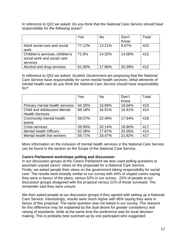In reference to Q22 we asked: *Do you think that the National Care Service should have responsibility for the following areas?*

|                                 | Yes    | <b>No</b> | Don't  | Total |
|---------------------------------|--------|-----------|--------|-------|
|                                 |        |           | Know   |       |
| Adult social care and social    | 77.12% | 13.21%    | 9.67%  | 424   |
| work                            |        |           |        |       |
| Children's services; children's | 71.6%  | 14.32%    | 14.08% | 412   |
| social work and social care     |        |           |        |       |
| services                        |        |           |        |       |
| Alcohol and drug services       | 61.65% | 17.96%    | 20.39% | 412   |

In reference to Q52 we asked: *Scottish Government are proposing that the National Care Service have responsibility for some mental health services. What elements of mental health care do you think the National Care Service should have responsibility for?*

|                                    | Yes    | <b>No</b> | Don't  | Total |
|------------------------------------|--------|-----------|--------|-------|
|                                    |        |           | Know   |       |
| Primary mental health services     | 64.35% | 16.99%    | 18.66% | 418   |
| <b>Child and Adolescent Mental</b> | 66.18% | 16.91%    | 16.91% | 414   |
| <b>Health Services</b>             |        |           |        |       |
| Community mental health            | 59.57% | 22.49%    | 17.94% | 418   |
| teams                              |        |           |        |       |
| Crisis services                    | 59.95% | 20.14%    | 19.90% | 417   |
| <b>Mental health Officers</b>      | 62.08% | 17.87%    | 20.05% | 414   |
| Mental health link workers         | 59.71% | 18.47%    | 21.82% | 417   |

More information on the inclusion of mental health services in the National Care Service can be found in the section on the Scope of the National Care Service.

## **Carers Parliament workshops polling and discussion**

In our discussion groups at the Carers Parliament we also used polling questions to ascertain unpaid carers' views on the proposals for a National Care Service. Firstly, we asked people their views on the government taking responsibility for social care. The results were broadly similar to our survey with 44% of unpaid carers saying they were in favour of the plans, versus 52% in our survey. 22% of people at our discussion groups disagreed with the proposal versus 21% of those surveyed. The remainder said they were unsure.

We then asked people at our discussion groups if they agreed with setting up a National Care Service. Interestingly, results were much higher with 86% saying they were in favour of this proposal. The same question was not asked in our survey. The reasons for this difference may be explained by the dual desire for greater consistency and raising of standards, while at the same time the preference was for local decision making. This is probably best summed up by one participant who suggested: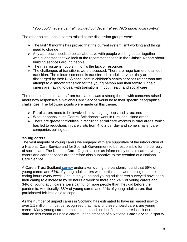*"You could have a centrally funded but decentralised NCS under local control"*

The other points unpaid carers raised at the discussion groups were:

- $\triangleright$  The last 18 months has proved that the current system isn't working and things need to change
- $\triangleright$  Any approach needs to be collaborative with people working better together. It was suggested that we look at the recommendations in the Christie Report about building services around people
- $\triangleright$  The main issue is not planning it's the lack of resources
- $\triangleright$  The challenges of transitions were discussed. There are huge barriers to smooth transition. The minute someone is transferred to adult services they are discharged by their NHS consultant in children's health services rather than any attempt to a smooth transition for the young person and their family. Unpaid carers are having to deal with transitions in both health and social care

The needs of unpaid carers from rural areas was a strong theme with concerns raised about how responsive a National Care Service would be to their specific geographical challenges. The following points were made on this theme:

- $\triangleright$  Rural carers need to be involved in oversight groups and structures
- $\triangleright$  What happens in the Central Belt doesn't work in rural and island areas
- $\triangleright$  There are greater difficulties in recruiting social care workers in rural areas, which has led to reductions in care visits from 4 to 2 per day and some smaller care companies pulling out.

## **Young carers**

The vast majority of young carers we engaged with are supportive of the introduction of a National Care Service and for Scottish Government to be responsible for the delivery of social care. The National Carer Organisations as informed by unpaid carers, young carers and carer services are therefore also supportive to the creation of a National Care Service.

A Carers Trust Scotland [survey](https://carers.org/downloads/scotland-pdfs/2020-vision.pdf) undertaken during the pandemic found that 59% of young carers and 67% of young adult carers who participated were taking on more caring hours every week. One in ten young and young adult carers surveyed have seen their caring role increase by 30 hours a week or more and 24% of young carers and 34% of young adult carers were caring for more people than they did before the pandemic. Additionally, 38% of young carers and 44% of young adult carers that participated felt less able to cope.

As the number of unpaid carers in Scotland has estimated to have increased now to over 1.1 million, it must be recognised that many of these unpaid carers are young carers. Many young carers remain hidden and unidentified and there is lack of robust data on this cohort of unpaid carers. In the creation of a National Care Service, disparity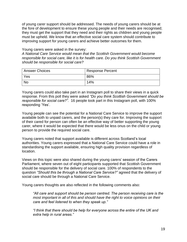of young carer support should be addressed. The needs of young carers should be at the fore of development to ensure these young people and their needs are recognised; they must get the support that they need and their rights as children and young people must be upheld. We know that an effective social care system should contribute to improving support for young carers and achieve better outcomes for them.

#### Young carers were asked in the survey:

*A National Care Service would mean that the Scottish Government would become responsible for social care, like it is for health care. Do you think Scottish Government should be responsible for social care?*

| Answer Choices | <b>Response Percent</b> |
|----------------|-------------------------|
| Yes            | 86%                     |
| <b>No</b>      | 14%                     |

Young carers could also take part in an Instagram poll to share their views in a quick response. From this poll they were asked *"Do you think Scottish Government should be responsible for social care?".* 16 people took part in this Instagram poll, with 100% responding 'Yes'.

Young people can see the potential for a National Care Service to improve the support available both to unpaid carers, and the person(s) they care for. Improving the support of their cared for person can often be an effective way of better supporting the young carer, where it would be expected that there would be less onus on the child or young person to provide the required social care.

Young carers noted that support available is different across Scotland's local authorities. Young carers expressed that a National Care Service could have a role in standardising the support available, ensuring high quality provision regardless of location.

Views on this topic were also shared during the young carers' session of the Carers Parliament, where seven out of eight participants supported that Scottish Government should be responsible for the delivery of social care. 100% of respondents to the question *"Should this be through a National Care Service?"* agreed that the delivery of social care should be through a National Care Service.

Young carers thoughts are also reflected in the following comments also:

*"All care and support should be person centred. The person receiving care is the most important in all of this and should have the right to voice opinions on their care and feel listened to when they speak up."*

*"I think that there should be help for everyone across the entire of the UK and extra help in rural areas."*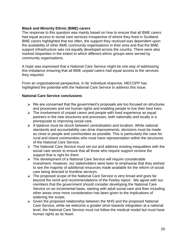## **Black and Minority Ethnic (BME) carers**

The response to this question was mainly based on how to ensure that all BME carers had equal access to social care services irrespective of where they lived in Scotland. BME carers highlighted that too often, the support they received was dependent upon the availability of other BME community organisations in their area and that the BME support infrastructure was not equally developed across the country. There were also marked disparities in the extent to which different ethnic groups were served by community organisations.

A hope was expressed that a National Care Service might be one way of addressing this imbalance ensuring that all BME unpaid carers had equal access to the services they required.

From an organisational perspective, in its' individual response, MECOPP has highlighted the potential with the National Care Service to address this issue.

## **National Care Service conclusions**

- $\triangleright$  We are concerned that the government's proposals are too focused on structures and processes and not human rights and enabling people to live their best lives.
- $\triangleright$  The involvement of unpaid carers and people with lived experience as equal partners in the new structures and processes, both nationally and locally is a prerequisite to improving social care.
- $\triangleright$  A balance must be struck between centralisation and localism. While national standards and accountability can drive improvements, decisions must be made as close to people and communities as possible. This is particularly the case for rural and island communities who must have representation within the structures of the National Care Service.
- $\triangleright$  The National Care Service must set out and address existing inequalities with the social care sector to ensure that all those who require support receive the support that is right for them
- $\triangleright$  The development of a National Care Service will require considerable investment. However, our stakeholders were keen to emphasise that they wished to see the majority of additional resources made available for the reform of social care being directed to frontline services.
- The proposed scope of the National Care Service is very broad and goes far beyond the remit and recommendations of the Feeley report. We agree with our members that the government should consider developing the National Care Service on an incremental basis, starting with adult social care and then including other areas once more consideration has been given to the implications of widening the scope.
- $\triangleright$  Given the proposed relationship between the NHS and the proposed National Care Service, while we welcome a greater drive towards integration at a national level, the National Care Service must not follow the medical model but must have human rights as its heart.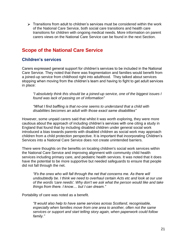$\triangleright$  Transitions from adult to children's services must be considered within the work of the National Care Service, both social care transitions and health care transitions for children with ongoing medical needs. More information on parent carers views on the National Care Service can be found in the next Section.

# **Scope of the National Care Service**

# **Children's services**

Carers expressed general support for children's services to be included in the National Care Service. They noted that there was fragmentation and families would benefit from a joined-up service from childhood right into adulthood. They talked about services stopping when moving from the children's team and having to fight to get adult services in place:

*"I absolutely think this should be a joined-up service, one of the biggest issues I found was lack of passing on of information"*

*"What I find baffling is that no-one seems to understand that a child with disabilities becomes an adult with those exact same disabilities"*

However, some unpaid carers said that whilst it was worth exploring, they were more cautious about the approach of including children's services with one citing a study in England that found that by including disabled children under general social work introduced a bias towards parents with disabled children as social work may approach children from a child protection perspective. It is important that incorporating Children's Services into a National Care Service does not create unintended barriers.

There were thoughts on the benefits on locating children's social work services within the National Care Service and improving alignment with community child health services including primary care, and pediatric health services. It was noted that it does have the potential to be more supportive but needed safeguards to ensure that people did not fall through the net.

*"It's the ones who will fall through the net that concerns me. As there will undoubtedly be. I think we need to overhaul certain Acts etc and look at our use of the words 'care needs'. Why don't we ask what the person would like and take things from there. I know.... but I can dream."*

Portability of care was noted as a benefit.

*"It would also help to have same services across Scotland, recognisable, especially when families move from one area to another, often not the same services or support and start telling story again, when paperwork could follow family."*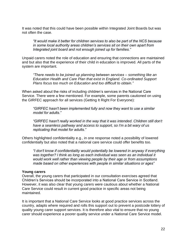It was noted that this could have been possible within Integrated Joint Boards but was not often the case.

*"It would make it better for children services to also be part of the NCS because in some local authority areas children's services sit on their own apart from Integrated joint board and not enough joined up for families."*

Unpaid carers noted the role of education and ensuring that connections are maintained and but also that the experience of their child in education is improved. All parts of the system are important.

*"There needs to be joined up planning between services – something like an Education Health and Care Plan that exist in England. Co-ordinated Support Plans focus too much on Education and too difficult to obtain."*

When asked about the risks of including children's services in the National Care Service. There were a few mentioned. For example, some parents cautioned on using the GIRFEC approach for all services (Getting It Right For Everyone):

*"GIRFEC hasn't been implemented fully and now they want to use a similar model for adults."* 

*"GIRFEC hasn't really worked in the way that it was intended. Children still don't have a seamless pathway and access to support, so I'm a bit wary of us replicating that model for adults."*

Others highlighted confidentiality e.g., in one response noted a possibility of lowered confidentially but also noted that a national care service could offer benefits too.

*"I don't know if confidentiality would potentially be lowered in anyway if everything was together? I think as long as each individual was seen as an individual it would work well rather than viewing people by their age or from assumptions made based on other experiences with people in similar situations or ages"*

## **Young carers**

Overall, the young carers that participated in our consultation exercises agreed that Children's Services should be incorporated into a National Care Service in Scotland. However, it was also clear that young carers were cautious about whether a National Care Service could result in current good practice in specific areas not being maintained.

It is important that a National Care Service looks at good practice services across the country, adapts where required and rolls this support out to prevent a postcode lottery of quality young carer support services. It is therefore also vital to ensure that no young carer should experience a poorer quality service under a National Care Service model.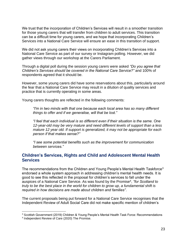We trust that the incorporation of Children's Services will result in a smoother transition for those young carers that will transfer from children to adult services. This transition can be a difficult time for young carers, and we hope that incorporating Children's Services into a National Care Service will ensure an ease in this transition of support.

We did not ask young carers their views on incorporating Children's Services into a National Care Service as part of our survey or Instagram polling. However, we did gather views through our workshop at the Carers Parliament.

Through a digital poll during the session young carers were asked *"Do you agree that Children's Services should be covered in the National Care Service?"* and 100% of respondents agreed that it should be.

However, some young carers did have some reservations about this, particularly around the fear that a National Care Service may result in a dilution of quality services and practice that is currently operating in some areas.

Young carers thoughts are reflected in the following comments:

*"I'm in two minds with that one because each local area has so many different things to offer and if we generalise, will that be lost."*

*"I feel that each individual is so different even if their situation is the same. One 12-year-old may be very mature and need different levels of support than a less mature 12 year old. If support is generalized, it may not be appropriate for each person if that makes sense?"*

*"I see some potential benefits such as the improvement for communication between services."*

# **Children's Services, Rights and Child and Adolescent Mental Health Services**

The recommendations from the Children and Young People's Mental Health Taskforce<sup>3</sup> endorsed a whole system approach in addressing children's mental health needs. It is good to see this reflected in the proposal for children's services to fall under the auspices of a National Care Service. As was found by the Promise<sup>4</sup> , *"for Scotland to truly to be the best place in the world for children to grow up, a fundamental shift is required in how decisions are made about children and families"*.

The current proposals being put forward for a National Care Service recognises that the Independent Review of Adult Social Care did not make specific mention of children's

<sup>&</sup>lt;sup>3</sup> Scottish Government (2019) Children & Young People's Mental Health Task Force: Recommendations

<sup>4</sup> Independent Review of Care (2020) The Promise.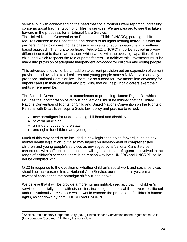service, out with acknowledging the need that social workers were reporting increasing concerns about fragmentation of children's services. We are pleased to see this taken forward in the proposals for a National Care Service.

The United Nations Convention on Rights of the Child<sup>5</sup> (UNCRC), paradigm shift requires children to be understood and related to as rights bearing individuals who are partners in their own care, not as passive recipients of adult's decisions in a welfarebased approach. The right to be heard (Article 12, UNCRC) must be applied in a very different context to that of adults, one which works with the evolving capacities of the child, and which respects the role of parent/carers. To achieve this, investment must be made into provision of adequate independent advocacy for children and young people.

This advocacy should not be an add on to current provision but an expansion of current provision and available to all children and young people across NHS service and any proposed National Care Service. There is also a need for investment into advocacy for unpaid carers in their own right and providing that will help unpaid carers exert their rights where need be.

The Scottish Government, in its commitment to producing Human Rights Bill which includes the incorporation of various conventions, must be minded that the United Nations Convention of Rights for Child and United Nations Convention on the Rights of Persons with Disabilities require Scots law, policy and practice to reflect:

- $\triangleright$  new paradigms for understanding childhood and disability
- $\triangleright$  several principles
- $\geq$  a range of duties for the state
- $\geq$  and rights for children and young people.

Much of this may need to be included in new legislation going forward, such as new mental health legislation, but also may impact on development of comprehensive children and young people's services as envisaged by a National Care Service. If carried out, with sufficient resources and willingness on part of agencies involved in the range of children's services, there is no reason why both UNCRC and UNCRPD could not be complied with.

Q.22 In response to the question of whether children's social work and social services should be incorporated into a National Care Service, our response is yes, but with the caveat of considering the paradigm shift outlined above.

We believe that it will be provide a more human rights-based approach if children's services, especially those with disabilities, including mental disabilities, were positioned under a National Care Service which would oversee the protection of children's human rights, as set down by both UNCRC and UNCRPD.

<sup>5</sup> Scottish Parliamentary Corporate Body (2020) United Nations Convention on the Rights of the Child (Incorporation) (Scotland) Bill: Policy Memorandum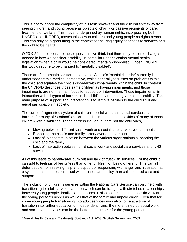This is not to ignore the complexity of this task however and the cultural shift away from seeing children and young people as objects of charity or passive recipients of care, treatment, or welfare. This move, underpinned by human rights, incorporating both UNCRC and UNCRPD, moves this view to children and young people as rights bearers. This can only be a good thing in the context of ensuring equity of access to services and the right to be heard.

Q.23 & 24. In response to these questions, we think that there may be some changes needed in how we consider disability, in particular under Scottish mental health legislation <sup>6</sup>when a child would be considered 'mentally disordered', under UNCRPD this would require to be changed to 'mentally disabled'.

These are fundamentally different concepts. A child's 'mental disorder' currently is understood from a medical perspective, which generally focusses on problems within the child and equates the child's disorder with impairments within the child. In contrast the UNCRPD describes those same children as having impairments, and those impairments are not the main focus for support or intervention. Those impairments, in interaction with all types of barriers in the child's environment give rise to disability. The main purpose of support and intervention is to remove barriers to the child's full and equal participation in society.

The current fragmented system of children's social work and social services stand as barriers for many of Scotland's children and increase the complexities of many of those children with disabilities. These barriers include, but are not the only ones,

- Moving between different social work and social care services/departments
- $\triangleright$  Repeating the child's and family's story over and over again
- $\triangleright$  Lack of joint communication between the various organisations supporting the child and the family
- Lack of interaction between child social work and social care services and NHS services.

All of this leads to parent/carer burn out and lack of trust with services. For the child it can add to feelings of being 'less than other children' or 'being different'. This can all deter people from seeking help and support or responding with anger and frustration at a system that is more concerned with process and policy than child centred care and support.

The inclusion of children's services within the National Care Service can only help with transitioning to adult services, an area which can be fraught with stretched relationships between young people, families and services. It also aspires to take a holistic view of the young person's needs as well as that of the family and unpaid carer. Given that for some young people transitioning into adult services may also come at a time of transition into further education or independent living, the more joined up social work and social care services can be the better the outcome for the young person.

<sup>6</sup> Mental Health (Care and Treatment) (Scotland) Act, 2003, Scottish Government, 2003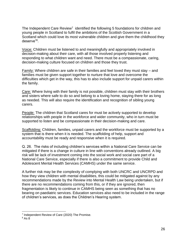The Independent Care Review<sup>7</sup> identified the following 5 foundations for children and young people in Scotland to fulfil the ambitions of the Scottish Government in a Scotland which could love its most vulnerable children and give them the childhood they deserve"<sup>8</sup>.

Voice: Children must be listened to and meaningfully and appropriately involved in decision-making about their care, with all those involved properly listening and responding to what children want and need. There must be a compassionate, caring, decision-making culture focused on children and those they trust.

Family: Where children are safe in their families and feel loved they must stay – and families must be given support together to nurture that love and overcome the difficulties which get in the way, this has to also include support for unpaid carers within the family.

Care: Where living with their family is not possible, children must stay with their brothers and sisters where safe to do so and belong to a loving home, staying there for as long as needed. This will also require the identification and recognition of sibling young carers.

People: The children that Scotland cares for must be actively supported to develop relationships with people in the workforce and wider community, who in turn must be supported to listen and be compassionate in their decision-making and care.

Scaffolding: Children, families, unpaid carers and the workforce must be supported by a system that is there when it is needed. The scaffolding of help, support and accountability must be ready and responsive when it is required.

Q. 26. The risks of including children's services within a National Care Service can be mitigated if there is a change in culture in line with conventions already outlined. A big risk will be lack of investment coming into the social work and social care part of a National Care Service, especially if there is also a commitment to provide Child and Adolescent Mental Health Services (CAMHS) under the same service.

A further risk may be the complexity of complying with both UNCRC and UNCRPD and how they view children with mental disabilities, this could be mitigated against by any recommendations made by the Review into Mental Health Law being undertaken, but if there are no recommendations coming from this, or if they are ignored, then fragmentation is likely to continue in CAMHS being seen as something that has no bearing on paediatric services. Education services also need to be included in the range of children's services, as does the Children's Hearing system.

<sup>&</sup>lt;sup>7</sup> Independent Review of Care (2020) The Promise.

<sup>8</sup> As 8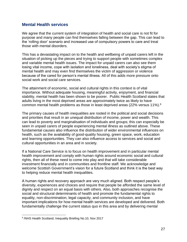## **Mental Health services**

We agree that the current system of integration of health and social care is not fit for purpose and many people can find themselves falling between the gap. This can lead to the 'rolling door' scenario and increased use of compulsory powers to care and treat those with mental disorders.

This has a devastating impact on to the health and wellbeing of unpaid carers left in the situation of picking up the pieces and trying to support people with sometimes complex and variable mental health issues. The impact for unpaid carers can also see them losing vital income, cope with isolation and loneliness, deal with society's stigma of mental health and may even find themselves the victim of aggression or violence because of the cared for person's mental illness. All of this adds more pressure onto social work and social care services.

The attainment of economic, social and cultural rights in this context is of vital importance. Without adequate housing, meaningful activity, enjoyment, and financial stability, mental health has been shown to be poorer. Public Health Scotland states that adults living in the most deprived areas are approximately twice as likely to have common mental health problems as those in least deprived areas (22% versus 11%).<sup>9</sup>

The primary causes of health inequalities are rooted in the political and social decisions and priorities that result in an unequal distribution of income, power and wealth. This can lead to poverty and marginalisation of individuals and groups; this can especially be seen in unpaid carers of people experiencing mental illness as outlined above. These fundamental causes also influence the distribution of wider environmental influences on health, such as the availability of good-quality housing, green space, work, education and learning opportunities. They can also influence access to services and social and cultural opportunities in an area and in society.

If a National Care Service is to focus on health improvement and in particular mental health improvement and comply with human rights around economic social and cultural rights, then all of these need to come into play and that will take considerable investment financially and in communities and frontline staff. We acknowledge and welcome Scottish Government's vision for a future Scotland and think it is the best way to helping reduce mental health inequalities.

A human rights and recovery approach are very much aligned. Both respect people's diversity, experiences and choices and require that people be afforded the same level of dignity and respect on an equal basis with others. Also, both approaches recognise the social and structural determinants of health and promote the fundamental rights to equality, non-discrimination, legal capacity, and community inclusion, and have important implications for how mental health services are developed and delivered. Both fundamentally challenge the current status quo in this area and by delivering mental

<sup>&</sup>lt;sup>9</sup>/NHS Health Scotland; Inequality Briefing No.10, Nov 2017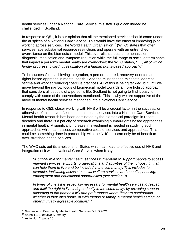health services under a National Care Service, this status quo can indeed be challenged in Scotland.

In response to Q51, it is our opinion that all the mentioned services should come under the auspices of a National Care Service. This would have the effect of improving joint working across services. The World Health Organisation<sup>10</sup> (WHO) states that often services face substantial resource restrictions and operate with an entrenched overreliance on the biomedical model. This overreliance puts an emphasis on diagnosis, medication and symptom reduction while the full range of social determinants that impact a person's mental health are overlooked; the WHO states, *"… , all of which hinder progress toward full realization of a human rights-based approach*."<sup>11</sup>

To be successful in achieving integration, a person-centred, recovery-oriented and rights-based approach in mental health, Scotland must change mindsets, address stigma and work at reducing coercive practices. All of this is being tackled, but until we move beyond the narrow focus of biomedical model towards a more holistic approach that considers all aspects of a person's life, Scotland is not going to find it easy to comply with some of the conventions mentioned. This is why we are supportive of the move of mental health services mentioned into a National Care Service.

In response to Q52, closer working with NHS will be a crucial factor in the success, or otherwise, of this move of some mental health services into a National Care Service. Mental health research has been dominated by the biomedical paradigm in recent decades and there is a paucity of research examining human-rights based approaches in mental health. A significant increase in investment is needed in studying such approaches which can assess comparative costs of services and approaches. This could be something done in partnership with the NHS as it can only be of benefit to over-stretched health services.

The WHO sets out its ambitions for States which can lead to effective use of NHS and integration of it with a National Care Service when it says,

*"A critical role for mental health services is therefore to support people to access relevant services, supports, organizations and activities of their choosing, that can help them to live and be included in the community. This includes for example, facilitating access to social welfare services and benefits, housing, employment and educational opportunities (see section 3).* 

*In times of crisis it is especially necessary for mental health services to respect and fulfil the right to live independently in the community, by providing support according to the person's will and preferences where they are comfortable, whether in their own home, or with friends or family, a mental health setting, or other mutually agreeable location."<sup>12</sup>*

<sup>10</sup> Guidance on Community Mental Health Services, WHO 2021

<sup>&</sup>lt;sup>11</sup> As no 11, Executive Summary

 $12$  As in No 12, page 10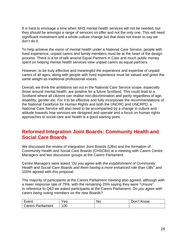It is hard to envisage a time when NHS mental health services will not be needed, but they should be amongst a range of services on offer and not the only one. This will need significant investment and a whole culture change but that does not mean to say we don't do it.

To help achieve the vision of mental health under a National Care Service, people with lived experience, unpaid carers and family members must be at the heart of the design process. There is a lot of talk around Equal Partners in Care and much public money spent on helping mental health services view unpaid carers as equal partners.

However, to be truly effective and meaningful the experience and expertise of unpaid carers of all ages, along with people with lived experience must be valued and given the same weight as traditional professional voices.

Overall, we think the ambitions set out in the National Care Service scope, especially those around mental health, are positive for a future Scotland. This could lead to a Scotland where all citizens can realise non-discrimination and parity regardless of age, disability, gender etc. For it to be effective and fully incorporate the recommendations of the National Taskforce for Human Rights and both the UNCRC and UNCRPD, a National Care Service will also need to be accompanied by a change in culture and attitude towards how services are designed and operate and a focus on human rights approaches to social care and health is a good starting point.

# **Reformed Integration Joint Boards: Community Health and Social Care Boards**

We discussed the review of Integration Joint Boards (IJBs) and the formation of Community Health and Social Care Boards (CHSCBs) at a meeting with Carers Centre Managers and two discussion groups at the Carers Parliament.

Centre Managers were asked "*Do you agree with the establishment of Community Health and Social Care Boards and them having a more enhanced role than IJBs*" and 100% agreed with this proposal.

The majority of participants at the Carers Parliament meeting also agreed, although with a lower response rate of 75%, with the remaining 25% saying they were "Unsure". In reference to Q63 we asked participants at the Carers Parliament: *Do you agree with carers being voting members on the new Boards?*

| -<br>$\sim$<br>ו וס | es        | <b>NC</b><br>__ | now |
|---------------------|-----------|-----------------|-----|
| ament<br>$\cdot$    | 00<br>. . |                 |     |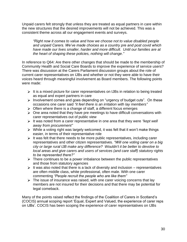Unpaid carers felt strongly that unless they are treated as equal partners in care within the new structures that the desired improvements will not be achieved. This was a consistent theme across all our engagement events and surveys.

*"Right now it comes to value and how we choose not to value disabled people and unpaid Carers. We've made choices as a country pre and post covid which have made our lives smaller, harder and more difficult. Until our families are at the heart of shaping these policies, nothing will change."*

In reference to Q64: Are there other changes that should be made to the membership of Community Health and Social Care Boards to improve the experience of service users? There was discussion at the Carers Parliament discussion groups about the role of current carer representatives on IJBs and whether or not they were able to have their voices heard through meaningful involvement as Board members. The following points were made:

- $\triangleright$  It is a mixed picture for carer representatives on IJBs in relation to being treated as equal and expert partners in care
- $\triangleright$  Involvement comes and goes depending on "urgency of budget cuts". On these occasions one carer said *"it feel there is an irritation with lay members"*
- $\triangleright$  Often where there is a change of staff, a different focus emerges
- $\triangleright$  One area noted that they have pre meetings to have difficult conversations with carer representatives out of public view
- It was noted from a carer representative in one area that they were *"kept well away from procurement"*
- $\triangleright$  While a voting right was largely welcomed, it was felt that it won't make things easier, in terms of their representative role
- $\triangleright$  It was felt that there needs to be more public representatives, including carer representatives and other citizen representatives. *"Will one voting carer on a big city or large rural IJB make any difference? Wouldn't it be better to devolve to local areas and give carers and users of services (and care staff) statutory rights to be represented there?"*
- $\triangleright$  There continues to be a power imbalance between the public representatives and those from statutory agencies
- $\triangleright$  It was also noted that there is a lack of diversity and inclusion representatives are often middle class, white professional, often male. With one carer commenting *"People recruit the people who are like them"*
- $\triangleright$  The issue of insurance was raised, with one carer voicing concerns that lay members are not insured for their decisions and that there may be potential for legal comeback.

Many of the points raised reflect the findings of the Coalition of Carers in Scotland's (COCIS) annual scoping report 'Equal, Expert and Valued, the experience of carer reps on IJBs'. COCIS has been scoping the experience of carer representatives on IJBs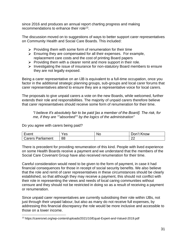since 2016 and produces an annual report charting progress and making recommendations to enhance their role<sup>13</sup>.

The discussion moved on to suggestions of ways to better support carer representatives on Community Health and Social Care Boards. This included:

- $\triangleright$  Providing them with some form of renumeration for their time
- $\triangleright$  Ensuring they are compensated for all their expenses. For example, replacement care costs and the cost of printing Board papers
- $\triangleright$  Providing them with a clearer remit and more support in their role.
- $\triangleright$  Investigating the issue of insurance for non-statutory Board members to ensure they are not legally exposed.

Being a carer representative on an IJB is equivalent to a full-time occupation, once you factor in the additional strategic planning groups, sub-groups and local carer forums that carer representatives attend to ensure they are a representative voice for local carers.

The proposals to give unpaid carers a vote on the new Boards, while welcomed, further extends their role and responsibilities. The majority of unpaid carers therefore believe that carer representatives should receive some form of renumeration for their time.

*"I believe it's absolutely fair to be paid [as a member of the Board]. The risk, for me, if they are ""absorbed"" by the logics of the administration"*

Do you agree with carers being paid?

| ∶vent                             | es | NC | 11.17<br>$\overline{\phantom{a}}$<br>.now<br>)∩n |
|-----------------------------------|----|----|--------------------------------------------------|
| $\mathbf{r}$<br>Carers Parliament | 88 |    | ~~<br><u>__</u>                                  |

There is precedent for providing renumeration of this kind. People with lived experience on some Health Boards receive a payment and we understand that the members of the Social Care Covenant Group have also received renumeration for their time.

Careful consideration would need to be given to the form of payment, in case it had financial consequences for those in receipt of social security benefits. We also believe that the role and remit of carer representatives in these circumstances should be clearly established, so that although they may receive a payment, this should not conflict with their role in representing the views and needs of local caring communities without censure and they should not be restricted in doing so as a result of receiving a payment or renumeration.

Since unpaid carer representatives are currently subsidising their role within IJBs, not just through their unpaid labour, but also as many do not receive full expenses, by addressing this financial discrepancy the role would be more inclusive and accessible to those on a lower income.

<sup>13</sup> https://carersnet.org/wp-content/uploads/2021/10/Equal-Expert-and-Valued-2019.pdf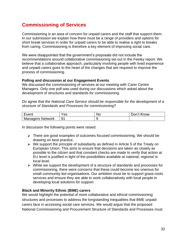# **Commissioning of Services**

Commissioning is an area of concern for unpaid carers and the staff that support them. In our submission we explain how there must be a range of providers and options for short break services in order for unpaid carers to be able to realise a right to breaks from caring. Commissioning is therefore a key element of improving social care.

We were disappointed that the government's proposals did not include the recommendations around collaborative commissioning set out in the Feeley report. We believe that a collaborative approach, particularly involving people with lived experience and unpaid carers goes to the heart of the changes that are required to improve the process of commissioning.

## **Polling and discussion at our Engagement Events**

We discussed the commissioning of services at our meeting with Carer Centre Managers. Only one poll was used during our discussions which asked about the development of structures and standards for commissioning.

*Do agree that the National Care Service should be responsible for the development of a structure of Standards and Processes for commissioning?*

| ∶vent                      | ΈS | <b>NC</b> | .now<br>JOF.<br>K |
|----------------------------|----|-----------|-------------------|
| Managers<br><b>Network</b> | Q1 |           |                   |

In discussion the following points were raised:

- $\triangleright$  There are good examples of outcomes focused commissioning. We should be drawing on best practice.
- $\triangleright$  We support the principle of subsidiarity as defined in Article 5 of the Treaty on European Union. This aims to ensure that decisions are taken as closely as possible to the citizen and that constant checks are made to verify that action at EU level is justified in light of the possibilities available at national, regional or local level.
- $\triangleright$  While we support the development of a structure of standards and processes for commissioning, there were concerns that these could become too onerous for small community-led organisations. Our ambition must be to support grass-roots services and ensure they are able to work collaboratively with local people in developing local solutions for support.

## **Black and Minority Ethnic (BME) carers**

We would highlight the potential of more collaborative and ethical commissioning structures and processes to address the longstanding inequalities that BME unpaid carers face in accessing social care services. We would argue that the proposed National Commissioning and Procurement Structure of Standards and Processes must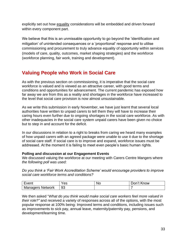explicitly set out how equality considerations will be embedded and driven forward within every component part.

We believe that this is an unmissable opportunity to go beyond the 'identification and mitigation' of unintended consequences or a 'proportional' response and to utilise commissioning and procurement to truly advance equality of opportunity within services (models of care, quality, outcomes, market shaping strategies) and the workforce (workforce planning, fair work, training and development).

# **Valuing People who Work in Social Care**

As with the previous section on commissioning, it is imperative that the social care workforce is valued and is viewed as an attractive career, with good terms and conditions and opportunities for advancement. The current pandemic has exposed how far away we are from this as a reality and shortages in the workforce have increased to the level that social care provision is now almost unsustainable.

As we write this submission in early November, we have just learnt that several local authorities have written to unpaid carers to tell them they will have to increase their caring hours even further due to ongoing shortages in the social care workforce. As with other inadequacies in the social care system unpaid carers have been given no choice but to step in and account for the deficit.

In our discussions in relation to a right to breaks from caring we heard many examples of how unpaid carers with an agreed package were unable to use it due to the shortage of social care staff. If social care is to improve and expand, workforce issues must be addressed. At the moment it is failing to meet even people's basic human rights.

## **Polling and discussion at our Engagement Events**

We discussed valuing the workforce at our meeting with Carers Centre Mangers where *the following poll was used:*

*Do you think a 'Fair Work Accreditation Scheme' would encourage providers to improve social care workforce terms and conditions?*

| ∙vent                      | es | 'NC | .now<br>)nn |
|----------------------------|----|-----|-------------|
| Managers<br><b>Network</b> | 93 |     |             |

We then asked "*What do you think would make social care workers feel more valued in their role?"* and received a variety of responses across all of the options, with the most popular response at 100% being: Improved terms and conditions, including issues such as improvements to sick pay, annual leave, maternity/paternity pay, pensions, and development/learning time.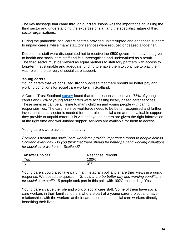The key message that came through our discussions was the importance of valuing the third sector and understanding the expertise of staff and the specialist nature of third sector organisations.

During the pandemic local carers centres provided uninterrupted and enhanced support to unpaid carers, while many statutory services were reduced or ceased altogether.

Despite this staff were disappointed not to receive the £500 government payment given to health and social care staff and felt unrecognised and undervalued as a result. The third sector must be viewed as equal partners to statutory partners with access to long-term, sustainable and adequate funding to enable them to continue to play their vital role in the delivery of social care support.

#### **Young carers**

Young carers that we consulted strongly agreed that there should be better pay and working conditions for social care workers in Scotland.

A Carers Trust Scotland [survey](https://carers.org/downloads/scotland-pdfs/2020-vision.pdf) found that from responses received, 75% of young carers and 67% of young adult carers were accessing locally based carer services. These services can be a lifeline to many children and young people with caring responsibilities. The carer service workforce needs to be better recognised and further investment in this sector is needed for their role in social care and the valuable support they provide to unpaid carers. It is vital that young carers are given the right information at the right time and well-funded support services are available for them to access.

Young carers were asked in the survey:

*Scotland's health and social care workforce provide important support to people across Scotland every day. Do you think that there should be better pay and working conditions for social care workers in Scotland?*

| <b>Answer Choices</b> | <b>Response Percent</b> |
|-----------------------|-------------------------|
| Yes                   | 100%                    |
| <b>No</b>             | 0%                      |

Young carers could also take part in an Instagram poll and share their views in a quick response. We posed the question: *"Should there be better pay and working conditions for social care staff*? 15 people took part in this poll, with 100% responding 'Yes'.

Young carers value the role and work of social care staff. Some of them have social care workers in their families; others who are part of a young carer project and have relationships with the workers at their carers centre, see social care workers directly benefiting their lives.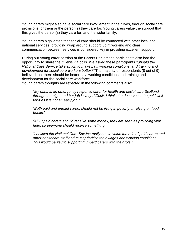Young carers might also have social care involvement in their lives, through social care provisions for them or the person(s) they care for. Young carers value the support that this gives the person(s) they care for, and the wider family.

Young carers highlighted that social care should be connected with other local and national services, providing wrap around support. Joint working and clear communication between services is considered key in providing excellent support.

During our young carer session at the Carers Parliament, participants also had the opportunity to share their views via polls. We asked these participants *"Should the National Care Service take action to make pay, working conditions, and training and development for social care workers better?"* The majority of respondents (8 out of 9) believed that there should be better pay, working conditions and training and development for the social care workforce.

Young carers thoughts are reflected in the following comments also:

*"My nana is an emergency response carer for health and social care Scotland through the night and her job is very difficult, I think she deserves to be paid well for it as it is not an easy job."*

*"Both paid and unpaid carers should not be living in poverty or relying on food banks."*

*"All unpaid carers should receive some money, they are seen as providing vital help, so everyone should receive something."*

*"I believe the National Care Service really has to value the role of paid carers and other healthcare staff and must prioritise their wages and working conditions. This would be key to supporting unpaid carers with their role."*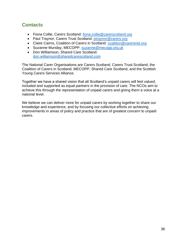# **Contacts**

- Fiona Collie, Carers Scotland: [fiona.collie@carerscotland.org](mailto:fiona.collie@carerscotland.org)
- Paul Traynor, Carers Trust Scotland: [ptraynor@carers.org](mailto:ptraynor@carers.org)
- Claire Cairns, Coalition of Carers in Scotland: [coalition@carersnet.org](mailto:coalition@carersnet.org)
- Suzanne Munday, MECOPP: [suzanne@mecopp.org.uk](mailto:suzanne@mecopp.org.uk)
- Don Williamson, Shared Care Scotland: [don.williamson@sharedcarescotland.com](mailto:don.williamson@sharedcarescotland.com)

The National Carer Organisations are Carers Scotland, Carers Trust Scotland, the Coalition of Carers in Scotland, MECOPP, Shared Care Scotland, and the Scottish Young Carers Services Alliance.

Together we have a shared vision that all Scotland's unpaid carers will feel valued, included and supported as equal partners in the provision of care. The NCOs aim to achieve this through the representation of unpaid carers and giving them a voice at a national level.

We believe we can deliver more for unpaid carers by working together to share our knowledge and experience, and by focusing our collective efforts on achieving improvements in areas of policy and practice that are of greatest concern to unpaid carers.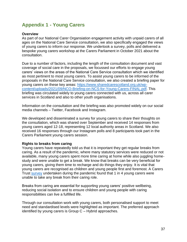# **Appendix 1 - Young Carers**

## **Overview**

As part of our National Carer Organsiation engagement activity with unpaid carers of all ages on the National Care Service consultation, we also specifically engaged the views of young carers to inform our response. We undertook a survey, polls and delivered a bespoke young carers workshop at the Carers Parliament in October 2021 about the consultation.

Due to a number of factors, including the length of the consultation document and vast coverage of social care in the proposals, we focussed our efforts to engage young carers' views on the areas of the National Care Service consultation which we identified as most pertinent to most young carers. To assist young carers to be informed of the proposals in the National Care Service consultation, we also created a briefing paper for young carers on these key areas: [https://www.sharedcarescotland.org.uk/wp](https://www.sharedcarescotland.org.uk/wp-content/uploads/2021/09/NCO-Briefing-on-NCS-for-Young-Carers-FINAL.pdf)[content/uploads/2021/09/NCO-Briefing-on-NCS-for-Young-Carers-FINAL.pdf.](https://www.sharedcarescotland.org.uk/wp-content/uploads/2021/09/NCO-Briefing-on-NCS-for-Young-Carers-FINAL.pdf) This briefing was circulated widely to young carers connected with us, across all carer services in Scotland and also to other youth organisations.

Information on the consultation and the briefing was also promoted widely on our social media channels – Twitter, Facebook and Instagram.

We developed and disseminated a survey for young carers to share their thoughts on the consultation, which was shared over September and received 14 responses from young carers aged 12-18, representing 12 local authority areas in Scotland. We also received 16 responses through our Instagram polls and 8 participants took part in the Carers Parliament young carers session.

## **Rights to breaks from caring**

Young carers have repeatedly told us that it is important they get regular breaks from caring. As a result of the pandemic, where many statutory services were reduced or not available, many young carers spent more time caring at home while also juggling homestudy and were unable to get a break. We know that breaks can be very beneficial for young carers, giving them time to recharge and do things they enjoy. It is vital that young carers are recognised as children and young people first and foremost. A Carers Trust [survey](https://carers.org/downloads/scotland-pdfs/2020-vision.pdf) undertaken during the pandemic found that 1 in 4 young carers were unable to take any break from their caring role.

Breaks from caring are essential for supporting young carers' positive wellbeing, reducing social isolation and to ensure children and young people with caring responsibilities can live a fulfilled life.

Through our consultation work with young carers, both personalised support to meet need and standardised levels were highlighted as important. The preferred approach identified by young carers is Group C – Hybrid approaches.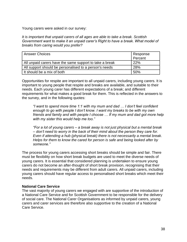Young carers were asked in our survey:

*It is important that unpaid carers of all ages are able to take a break. Scottish Government want to make it an unpaid carer's Right to have a break. What model of breaks from caring would you prefer?*

| <b>Answer Choices</b>                                   | Response |
|---------------------------------------------------------|----------|
|                                                         | Percent  |
| All unpaid carers have the same support to take a break | 22%      |
| All support should be personalised to a person's needs  | 28%      |
| It should be a mix of both                              | 50%      |

Opportunities for respite are important to all unpaid carers, including young carers. It is important to young people that respite and breaks are available, and suitable to their needs. Each young carer has different expectations of a break; and different requirements for what makes a good break for them. This is reflected in the answers to the survey, and in the following quotes:

*"I want to spend more time 1:1 with my mum and dad … I don't feel confident enough to go with people I don't know. I want my breaks to be with my own friends and family and with people I choose … If my mum and dad got more help with my sister this would help me too."*

*"For a lot of young carers – a break away is not just physical but a mental break – don't need to worry in the back of their mind about the person they care for. Even if attending a hub (physical break) there is not necessarily a mental break. Helps for them to know the cared for person is safe and being looked after by someone."*

The process for young carers accessing short breaks should be simple and fair. There must be flexibility on how short break budgets are used to meet the diverse needs of young carers. It is essential that considered planning is undertaken to ensure young carers do not become an after-thought of short break provision, recognising that their needs and requirements may be different from adult carers. All unpaid carers, including young carers should have regular access to personalised short breaks which meet their needs.

## **National Care Service**

The vast majority of young carers we engaged with are supportive of the introduction of a National Care Service and for Scottish Government to be responsible for the delivery of social care. The National Carer Organisations as informed by unpaid carers, young carers and carer services are therefore also supportive to the creation of a National Care Service.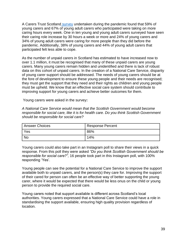A Carers Trust Scotland [survey](https://carers.org/downloads/scotland-pdfs/2020-vision.pdf) undertaken during the pandemic found that 59% of young carers and 67% of young adult carers who participated were taking on more caring hours every week. One in ten young and young adult carers surveyed have seen their caring role increase by 30 hours a week or more and 24% of young carers and 34% of young adult carers were caring for more people than they did before the pandemic. Additionally, 38% of young carers and 44% of young adult carers that participated felt less able to cope.

As the number of unpaid carers in Scotland has estimated to have increased now to over 1.1 million, it must be recognised that many of these unpaid carers are young carers. Many young carers remain hidden and unidentified and there is lack of robust data on this cohort of unpaid carers. In the creation of a National Care Service, disparity of young carer support should be addressed. The needs of young carers should be at the fore of development to ensure these young people and their needs are recognised; they must get the support that they need and their rights as children and young people must be upheld. We know that an effective social care system should contribute to improving support for young carers and achieve better outcomes for them.

Young carers were asked in the survey**:**

*A National Care Service would mean that the Scottish Government would become responsible for social care, like it is for health care. Do you think Scottish Government should be responsible for social care?*

| <b>Answer Choices</b> | Response Percent |
|-----------------------|------------------|
| Yes                   | 86%              |
| <b>No</b>             | 14%              |

Young carers could also take part in an Instagram poll to share their views in a quick response. From this poll they were asked *"Do you think Scottish Government should be responsible for social care?",* 16 people took part in this Instagram poll, with 100% responding 'Yes'.

Young people can see the potential for a National Care Service to improve the support available both to unpaid carers, and the person(s) they care for. Improving the support of their cared for person can often be an effective way of better supporting the young carer, where it would be expected that there would be less onus on the child or young person to provide the required social care.

Young carers noted that support available is different across Scotland's local authorities. Young carers expressed that a National Care Service could have a role in standardising the support available, ensuring high quality provision regardless of location.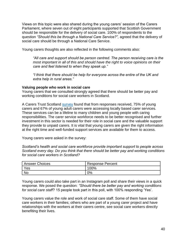Views on this topic were also shared during the young carers' session of the Carers Parliament, where seven out of eight participants supported that Scottish Government should be responsible for the delivery of social care. 100% of respondents to the question *"Should this be through a National Care Service?",* agreed that the delivery of social care should be through a National Care Service.

Young carers thoughts are also reflected in the following comments also:

*"All care and support should be person centred. The person receiving care is the most important in all of this and should have the right to voice opinions on their care and feel listened to when they speak up."*

*"I think that there should be help for everyone across the entire of the UK and extra help in rural areas."*

## **Valuing people who work in social care**

Young carers that we consulted strongly agreed that there should be better pay and working conditions for social care workers in Scotland.

A Carers Trust Scotland [survey](https://carers.org/downloads/scotland-pdfs/2020-vision.pdf) found that from responses received, 75% of young carers and 67% of young adult carers were accessing locally based carer services. These services can be a lifeline to many children and young people with caring responsibilities. The carer service workforce needs to be better recognised and further investment in this sector is needed for their role in social care and the valuable support they provide to unpaid carers. It is vital that young carers are given the right information at the right time and well-funded support services are available for them to access.

Young carers were asked in the survey:

*Scotland's health and social care workforce provide important support to people across Scotland every day. Do you think that there should be better pay and working conditions for social care workers in Scotland?*

| <b>Answer Choices</b> | <b>Response Percent</b> |
|-----------------------|-------------------------|
| Yes                   | 100%                    |
| No                    | 0%                      |

Young carers could also take part in an Instagram poll and share their views in a quick response. We posed the question: *"Should there be better pay and working conditions for social care staff*? 15 people took part in this poll, with 100% responding 'Yes'.

Young carers value the role and work of social care staff. Some of them have social care workers in their families; others who are part of a young carer project and have relationships with the workers at their carers centre, see social care workers directly benefiting their lives.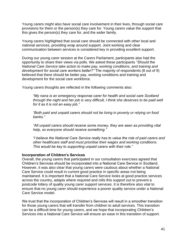Young carers might also have social care involvement in their lives, through social care provisions for them or the person(s) they care for. Young carers value the support that this gives the person(s) they care for, and the wider family.

Young carers highlighted that social care should be connected with other local and national services, providing wrap around support. Joint working and clear communication between services is considered key in providing excellent support.

During our young carer session at the Carers Parliament, participants also had the opportunity to share their views via polls. We asked these participants *"Should the National Care Service take action to make pay, working conditions, and training and development for social care workers better?"* The majority of respondents (8 out of 9) believed that there should be better pay, working conditions and training and development for the social care workforce.

Young carers thoughts are reflected in the following comments also:

*"My nana is an emergency response carer for health and social care Scotland through the night and her job is very difficult, I think she deserves to be paid well for it as it is not an easy job."*

*"Both paid and unpaid carers should not be living in poverty or relying on food banks."*

*"All unpaid carers should receive some money, they are seen as providing vital help, so everyone should receive something."*

*"I believe the National Care Service really has to value the role of paid carers and other healthcare staff and must prioritise their wages and working conditions. This would be key to supporting unpaid carers with their role."*

## **Incorporation of Children's Services**

Overall, the young carers that participated in our consultation exercises agreed that Children's Services should be incorporated into a National Care Service in Scotland. However, it was also clear that young carers were cautious about whether a National Care Service could result in current good practice in specific areas not being maintained. It is important that a National Care Service looks at good practice services across the country, adapts where required and rolls this support out to prevent a postcode lottery of quality young carer support services. It is therefore also vital to ensure that no young carer should experience a poorer quality service under a National Care Service model.

We trust that the incorporation of Children's Services will result in a smoother transition for those young carers that will transfer from children to adult services. This transition can be a difficult time for young carers, and we hope that incorporating Children's Services into a National Care Service will ensure an ease in this transition of support.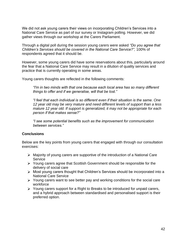We did not ask young carers their views on incorporating Children's Services into a National Care Service as part of our survey or Instagram polling. However, we did gather views through our workshop at the Carers Parliament.

Through a digital poll during the session young carers were asked *"Do you agree that Children's Services should be covered in the National Care Service?",* 100% of respondents agreed that it should be.

However, some young carers did have some reservations about this, particularly around the fear that a National Care Service may result in a dilution of quality services and practice that is currently operating in some areas.

Young carers thoughts are reflected in the following comments:

*"I'm in two minds with that one because each local area has so many different things to offer and if we generalise, will that be lost."*

*"I feel that each individual is so different even if their situation is the same. One 12 year old may be very mature and need different levels of support than a less mature 12 year old. If support is generalized, it may not be appropriate for each person if that makes sense?"*

*"I see some potential benefits such as the improvement for communication between services."*

## **Conclusions**

Below are the key points from young carers that engaged with through our consultation exercises:

- Majority of young carers are supportive of the introduction of a National Care **Service**
- Young carers agree that Scottish Government should be responsible for the delivery of social care
- Most young carers thought that Children's Services should be incorporated into a National Care Service
- $\triangleright$  Young carers want to see better pay and working conditions for the social care workforce
- $\triangleright$  Young carers support for a Right to Breaks to be introduced for unpaid carers, and a hybrid approach between standardised and personalised support is their preferred option.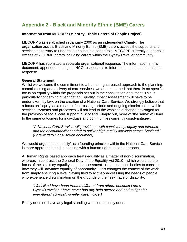# **Appendix 2 - Black and Minority Ethnic (BME) Carers**

## **Information from MECOPP (Minority Ethnic Carers of People Project)**

MECOPP was established in January 2000 as an independent Charity. The organisation assists Black and Minority Ethnic (BME) carers access the supports and services necessary to undertake or sustain a caring role. MECOPP currently supports in excess of 750 BME carers including carers within the Gypsy/Traveller community.

MECOPP has submitted a separate organisational response. The information in this document, appended to the joint NCO response, is to inform and supplement that joint response.

## **General Statement**

Whilst we welcome the commitment to a human rights-based approach to the planning, commissioning and delivery of care services, we are concerned that there is no specific focus on equality within the proposals set out in the consultation document. This is particularly concerning given that an Equality Impact Assessment will have to be undertaken, by law, on the creation of a National Care Service. We strongly believe that a focus on 'equity' as a means of redressing historic and ongoing discrimination within services, systems and processes will not lead to the wholesale change envisaged for the provision of social care support in Scotland. Simply put, more of 'the same' will lead to the same outcomes for individuals and communities currently disadvantaged.

*"A National Care Service will provide us with consistency, equity and fairness, and the accountability needed to deliver high quality services across Scotland." (Foreword to Consultation document)*

We would argue that 'equality' as a founding principle within the National Care Service is more appropriate and in keeping with a human rights-based approach.

A Human Rights based approach treats equality as a matter of non-discrimination, whereas in contrast, the General Duty of the Equality Act 2010 - which would be the focus of the statutory equality impact assessment - requires public bodies to consider how they will "advance equality of opportunity". This changes the context of the work from simply ensuring a level playing field to actively addressing the needs of people who experience discrimination on the grounds of their sex, race or disability.

*"I feel like I have been treated different from others because I am a Gypsy/Traveller. I have never had any help offered and had to fight for everything." (Gypsy/Traveller parent carer)*

Equity does not have any legal standing whereas equality does.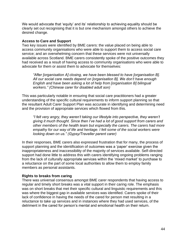We would advocate that 'equity' and its' relationship to achieving equality should be clearly set out recognising that it is but one mechanism amongst others to achieve the desired change.

## **Access to Care and Support**

Two key issues were identified by BME carers: the value placed on being able to access community organisations who were able to support them to access social care service; and an overwhelming concern that these services were not universally available across Scotland. BME carers consistently spoke of the positive outcomes they had received as a result of having access to community organisations who were able to advocate for them or assist them to advocate for themselves:

*"After [organisation A] closing, we have been blessed to have [organisation B]. All our social care needs depend on [organisation B]. We don't have enough English and have been asking a lot of help from [organisation B] bilingual workers." (Chinese carer for disabled adult son)*

This was particularly notable in ensuring that social care practitioners had a greater understanding of the specific cultural requirements to inform support planning so that the resultant Adult Carer Support Plan was accurate in identifying and determining need and the provision of appropriate services which flowed from this.

*"I felt very angry, they weren't taking our lifestyle into perspective, they weren't giving it much thought. Since then I've had a lot of good support from carers and other members of the health team but especially the carers. The carers had more empathy for our way of life and heritage. I felt some of the social workers were looking down on us." (Gypsy/Traveller parent carer)*

In their responses, BME carers also expressed frustration that for many, the process of support planning and the identification of outcomes was a 'paper' exercise given the inappropriateness and inaccessibility of the majority of services available. Self-directed support had done little to address this with carers identifying ongoing problems ranging from the lack of culturally appropriate services within the 'mixed market' to purchase to a reluctance on the part of some local authorities to allow them to employ family members as personal assistants.

## **Rights to breaks from caring**

There was universal consensus amongst BME carer respondents that having access to regular and timely short breaks was a vital support in their caring role. The emphasis was on short breaks that met their specific cultural and linguistic requirements and this was where the biggest gap in available services was identified. Carers spoke of their lack of confidence in having the needs of the cared for person met resulting in a reluctance to take up services and in instances where they had used services, of the detriment in the cared for person's mental and emotional health on their return.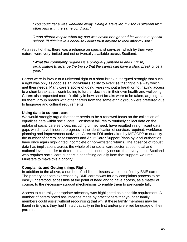*"You could get a wee weekend away. Being a Traveller, my son is different from other kids with the same condition."*

*"I was offered respite when my son was seven or eight and he went to a special school. [I] didn't take it because I didn't trust anyone to look after my son."*

As a result of this, there was a reliance on specialist services, which by their very nature, were very limited and not universally available across Scotland.

*"What the community requires is a bilingual (Cantonese and English) organisation to arrange the trip so that the carers can have a short break once a year."*

Carers were in favour of a universal right to a short break but argued strongly that such a right was only as good as an individual's ability to exercise that right in a way which met their needs. Many carers spoke of going years without a break or not having access to a short break at all, contributing to further declines in their own health and wellbeing. Carers also requested more flexibility in how short breaks were to be taken, arguing that for them, group breaks with other carers from the same ethnic group were preferred due to language and cultural requirements.

## **Using data to support care**

We would strongly argue that there needs to be a renewed focus on the collection of equalities data within social care. Consistent failures to routinely collect data on the uptake of social care services, including unmet need, have resulted in significant data gaps which have hindered progress in the identification of services required, workforce planning and improvement activities. A recent FOI undertaken by MECOPP to quantify the number of carers' assessments and Adult Carer Support Plans by local authorities have once again highlighted incomplete or non-existent returns. The absence of robust data has implications across the whole of the social care sector at both local and national level. In order to determine and subsequently ensure that everyone in Scotland who requires social care support is benefitting equally from that support, we urge Ministers to make this a priority.

## **Complaints and Getting things Right**

In addition to the above, a number of additional issues were identified by BME carers. The primary concern expressed by BME carers was for any complaints process to be easily understood, accessible at the point of need and to have access, as a matter of course, to the necessary support mechanisms to enable them to participate fully.

Access to culturally appropriate advocacy was highlighted as a specific requirement. A number of carers noted assumptions made by practitioners that younger family members could assist without recognising that whilst these family members may be fluent in English, they had limited capacity in the first and/or preferred language of their parents.